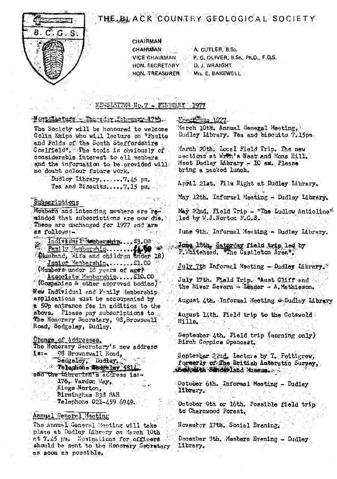

# THE BLACK COUNTRY GEOLOGICAL SOCIETY

**CHAIRMAN** 

A. CUTLER, B.Sc. **CHAIRMAN VÍCE CHAIRMAN** P. G. OLIVER, B.Sc., Ph.D., F.G.S. HON. SECRETARY D. J. WRAIGHT HON. TREASURER Mrs. E. BAKEWELL

# NEWSLETTER No.7 - WEBRUARY 1977

#### Nett Leture - Thredst Lebrury 17th.

The Society will be honoured to welcome Colin Enipe who will lecture on "Faults and Folds of the South Staffordshire Coalfield". The topic is obviously of considerable interest to all members and the information to be provided will no doubt colour future work.

> Dudley Library.......7.45 pm. Tea and Biscuits.....7.15 pm.

# Subseriptions

Members and intending members are reainded that subscriptions are now die. These are unchanged for 1977 and are as follower-

Individual Mondernary... \$3.00 Adusband, Wife and children thder 18) Junior Membership....... £1.00 (Members under 18 years of aget)

Associate Mambarship.....210.00 (Companies & other approved bodies) New Individual and Pamily Membership. applications must be accoupanied by a 50p entrance fee in addition to the above. Please pay subscriptions to The Honorary Secretary, 93 Browswall Road, Sedgeley, Dudley.

Change of Addresses. The Honorary Secretary's new address 98 Brownswall Road,  $18: -$ Sedgeley, Dudley, **Telephone** Newsley 531/ and the idbrarian's address is:- $\sim$  176, Vardon May, Kings Norton, Birmingham B33 SAH Telephone 021-459 6949.

## Annual General Macting

The Annual General Meeting will take place at Dudley Library on March 10th et 7.45 pa. Noninations for officers should be sent to the Honorary Secretary as soon as possible.

# Front the 1971.

March 10th. Annual General Meeting, Dadley Library. Tes and biscuits 7.15pm.

March 20th. Local Field Trip. The new sections at Wren's Nest and Mons Hill. Meet Dudley Library - 10 au. Please bring a packed lunch.

April 21st. Film Night at Dudley Library,

May 12th. Informal Meeting - Dudley Library.

May 22nd. Field Trip - "The Ludlow Anticline" led by W.J. Norton F.G.S.

June 9th. Informal Meeting - Dudley Library.

Jung 18th, Saturday field trip led by P. Whitehead. The Castleton Area".

 $July$  (th Informal Meeting - Dudley Library.)

July 17th. Mald Trip. "Aust Cliff and " the River Severn - Leader - A. Mathieson.

August 4th. Informal Meeting .Dudley Library

August lith. Field trip to the Cotswold.  $H111g$ .

September 4th. Field trip (morning only) Birch Coppice Opencast.

September 22nd. Lecture by T. Pettigrew, formerly of The British Auterctic Survey, where we had been and the start when

October 6th. Informal Meeting - Dudley library.

October 9th or 16th. Possible field trip to Charnwood Forest.

November 17th, Social Evening,

December Sth. Members Evening - Dudley licrary.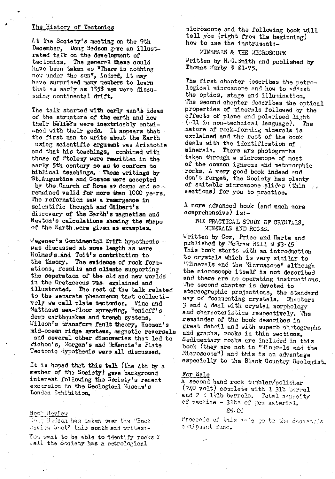# The History of Tectonics

At the Society's meeting on the 9th December, Doug Bedson gwe an illustrated talk on the development of tectonics. The general theme could have been taken as "There is nothing new under the sun', indeed, it may have surprised many members to learn that as early as 1353 men were discussing continental drift.

The talk started with early man is ideas of the structure of the earth and how their beliefs were inextricably entwi--ned with their gods. It ap pears that the first man to write about the Earth using scientific argument was Aristotle and that his teachings, combined with those of Ptolem<sup>y</sup> were rewritten in the early 5th century so as to conform to biblical teachings. These writings by St.Augustine and Cosaos were accepted by the Church of Rome as dogme and so remained valid for more than 1000 years. The reformation saw a resurgence in scientific thought and Gilbert's discovery of the Earth's magnetism and Newton's calculations showing the shape of the Earth were given as examples.

Wegener's Continental Drift hypothesis was discussed at some length as were Holrnesls\_and Toit's contribution to the theory. The evidence of rock formations, fossils and climate supporting the seperation of the old and new worlds in the Cretaceous was, explained and<br>illustrated. The rest of the talk re The rest of the talk related to the separate phenomenon that collectively we call plate tectonics. Vine and Matthews sea-floor spreading, Benioff's deep earthquakes and trench systems, Wilson's transform fault theory, Heezen's niid-ooeen ridge systems, nagnatic reversals and several other discoveries that led to Pichon's, Morgan's and McKenzie's Plate Tectonic Hypothesis were all discussed.

It is hoped that this talk (the 4th by a member of the Society) gave background interest following the Society's recent excursion to the Geological Museum's London Exhibition.

#### Boor Rev iew

 $\mathbb{D} \cap \mathbb{M}$  Bedson has taken wer the "Book Leview Spot<sup>s</sup> this month and writes:-

You want to be able to identify rocks ? **Well** the Society has a metrological

microscope and the following book will tell you (right from the beginning) how to use the instrument:-

**MINERALS & THE MICROSCOPE** Written by H.G. Smith and published by Thomas Murby 3 £1.75.

The first chapter describes the petrological microscope and how to edjust the optics, stage and illunination. The second chapter describes the optical properties of minerals followed by the effects of plane and polarised light (all in non-technical language). The .nature of rock-fornlng minerals is ex<sup>p</sup> lained and the rest of the book deals with the identification of minerals. There are photographs taken through a microscope of most of the common igneous and metamorphic rocks. A very good book indeed and don't forget, the Society has plenty of suitable microscope slides (thin sections) for you to practice.

A more advanced book (and much more comprehensive) is:-

## THE PRACTICAL STUDY OF CRYSTALS. MINERALS AND ROCKS.

Written by Cox, Price and Harte and published by McGrew Hill 2 \$3.45 This book starts with an introduction to cry stals which is very sinilar to "Minerals and the Microscope" although the microscope itself is not described and there are no operating instructions. The second chapter is devoted to stereographic projections, the standard way of documenting crystals. Chapters 3 and 4 deal with crystal morphology and characteristics respectively. The remainder of the book describes in great detail and with superb photographs and graphs, rocks in thin sections. Sedimentary rocks are included in this book (they are not in " linerals and the Microscope") and this is an advantage especially to the Black Country Geologist,

#### For Sale

A second hand rock tunbler/polisher (240 volt) couplete with 1 31b barrel and 2 ( 1<sup>1</sup>/<sub>2</sub>lb barrels. Total capacity of machine - 31bs of gem material. £5.00

E5.00<br>E5.00<br>Proceeds of this sele to the Society's a ulphent fund.